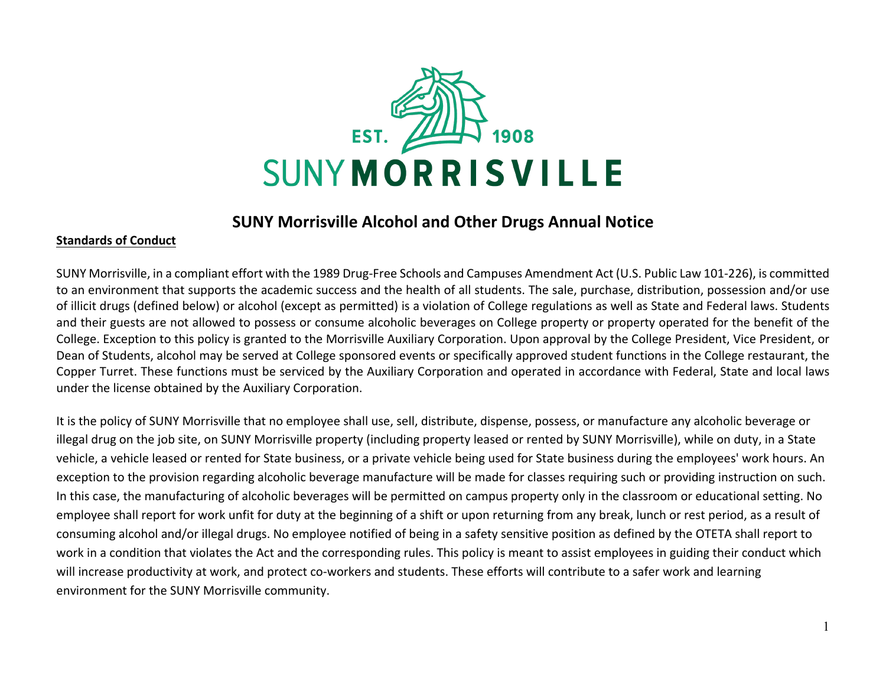

### **SUNY Morrisville Alcohol and Other Drugs Annual Notice**

### **Standards of Conduct**

SUNY Morrisville, in a compliant effort with the 1989 Drug-Free Schools and Campuses Amendment Act (U.S. Public Law 101-226), is committed to an environment that supports the academic success and the health of all students. The sale, purchase, distribution, possession and/or use of illicit drugs (defined below) or alcohol (except as permitted) is a violation of College regulations as well as State and Federal laws. Students and their guests are not allowed to possess or consume alcoholic beverages on College property or property operated for the benefit of the College. Exception to this policy is granted to the Morrisville Auxiliary Corporation. Upon approval by the College President, Vice President, or Dean of Students, alcohol may be served at College sponsored events or specifically approved student functions in the College restaurant, the Copper Turret. These functions must be serviced by the Auxiliary Corporation and operated in accordance with Federal, State and local laws under the license obtained by the Auxiliary Corporation.

It is the policy of SUNY Morrisville that no employee shall use, sell, distribute, dispense, possess, or manufacture any alcoholic beverage or illegal drug on the job site, on SUNY Morrisville property (including property leased or rented by SUNY Morrisville), while on duty, in a State vehicle, a vehicle leased or rented for State business, or a private vehicle being used for State business during the employees' work hours. An exception to the provision regarding alcoholic beverage manufacture will be made for classes requiring such or providing instruction on such. In this case, the manufacturing of alcoholic beverages will be permitted on campus property only in the classroom or educational setting. No employee shall report for work unfit for duty at the beginning of a shift or upon returning from any break, lunch or rest period, as a result of consuming alcohol and/or illegal drugs. No employee notified of being in a safety sensitive position as defined by the OTETA shall report to work in a condition that violates the Act and the corresponding rules. This policy is meant to assist employees in guiding their conduct which will increase productivity at work, and protect co-workers and students. These efforts will contribute to a safer work and learning environment for the SUNY Morrisville community.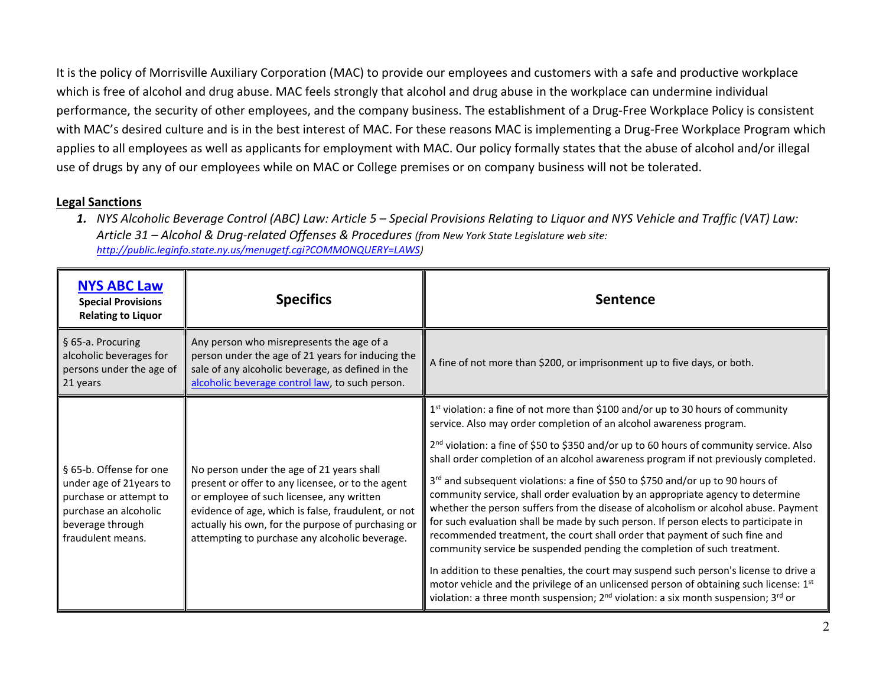It is the policy of Morrisville Auxiliary Corporation (MAC) to provide our employees and customers with a safe and productive workplace which is free of alcohol and drug abuse. MAC feels strongly that alcohol and drug abuse in the workplace can undermine individual performance, the security of other employees, and the company business. The establishment of a Drug-Free Workplace Policy is consistent with MAC's desired culture and is in the best interest of MAC. For these reasons MAC is implementing a Drug-Free Workplace Program which applies to all employees as well as applicants for employment with MAC. Our policy formally states that the abuse of alcohol and/or illegal use of drugs by any of our employees while on MAC or College premises or on company business will not be tolerated.

#### **Legal Sanctions**

*1. NYS Alcoholic Beverage Control (ABC) Law: Article 5 – Special Provisions Relating to Liquor and NYS Vehicle and Traffic (VAT) Law: Article 31 – Alcohol & Drug-related Offenses & Procedures (from New York State Legislature web site: [http://public.leginfo.state.ny.us/menugetf.cgi?COMMONQUERY=LAWS\)](http://public.leginfo.state.ny.us/menugetf.cgi?COMMONQUERY=LAWS)* 

| <b>NYS ABC Law</b><br><b>Special Provisions</b><br><b>Relating to Liquor</b>                                                                   | <b>Specifics</b>                                                                                                                                                                                                                                                                                           | <b>Sentence</b>                                                                                                                                                                                                                                                                                                                                                                                                                                                                                                                                                                                                                                                                                                                                                                                                                                                                                                                                                                                                                                                                                                                                                                 |
|------------------------------------------------------------------------------------------------------------------------------------------------|------------------------------------------------------------------------------------------------------------------------------------------------------------------------------------------------------------------------------------------------------------------------------------------------------------|---------------------------------------------------------------------------------------------------------------------------------------------------------------------------------------------------------------------------------------------------------------------------------------------------------------------------------------------------------------------------------------------------------------------------------------------------------------------------------------------------------------------------------------------------------------------------------------------------------------------------------------------------------------------------------------------------------------------------------------------------------------------------------------------------------------------------------------------------------------------------------------------------------------------------------------------------------------------------------------------------------------------------------------------------------------------------------------------------------------------------------------------------------------------------------|
| § 65-a. Procuring<br>alcoholic beverages for<br>persons under the age of<br>21 years                                                           | Any person who misrepresents the age of a<br>person under the age of 21 years for inducing the<br>sale of any alcoholic beverage, as defined in the<br>alcoholic beverage control law, to such person.                                                                                                     | A fine of not more than \$200, or imprisonment up to five days, or both.                                                                                                                                                                                                                                                                                                                                                                                                                                                                                                                                                                                                                                                                                                                                                                                                                                                                                                                                                                                                                                                                                                        |
| § 65-b. Offense for one<br>under age of 21years to<br>purchase or attempt to<br>purchase an alcoholic<br>beverage through<br>fraudulent means. | No person under the age of 21 years shall<br>present or offer to any licensee, or to the agent<br>or employee of such licensee, any written<br>evidence of age, which is false, fraudulent, or not<br>actually his own, for the purpose of purchasing or<br>attempting to purchase any alcoholic beverage. | 1 <sup>st</sup> violation: a fine of not more than \$100 and/or up to 30 hours of community<br>service. Also may order completion of an alcohol awareness program.<br>2 <sup>nd</sup> violation: a fine of \$50 to \$350 and/or up to 60 hours of community service. Also<br>shall order completion of an alcohol awareness program if not previously completed.<br>3 <sup>rd</sup> and subsequent violations: a fine of \$50 to \$750 and/or up to 90 hours of<br>community service, shall order evaluation by an appropriate agency to determine<br>whether the person suffers from the disease of alcoholism or alcohol abuse. Payment<br>for such evaluation shall be made by such person. If person elects to participate in<br>recommended treatment, the court shall order that payment of such fine and<br>community service be suspended pending the completion of such treatment.<br>In addition to these penalties, the court may suspend such person's license to drive a<br>motor vehicle and the privilege of an unlicensed person of obtaining such license: 1st<br>violation: a three month suspension; $2^{nd}$ violation: a six month suspension; $3^{rd}$ or |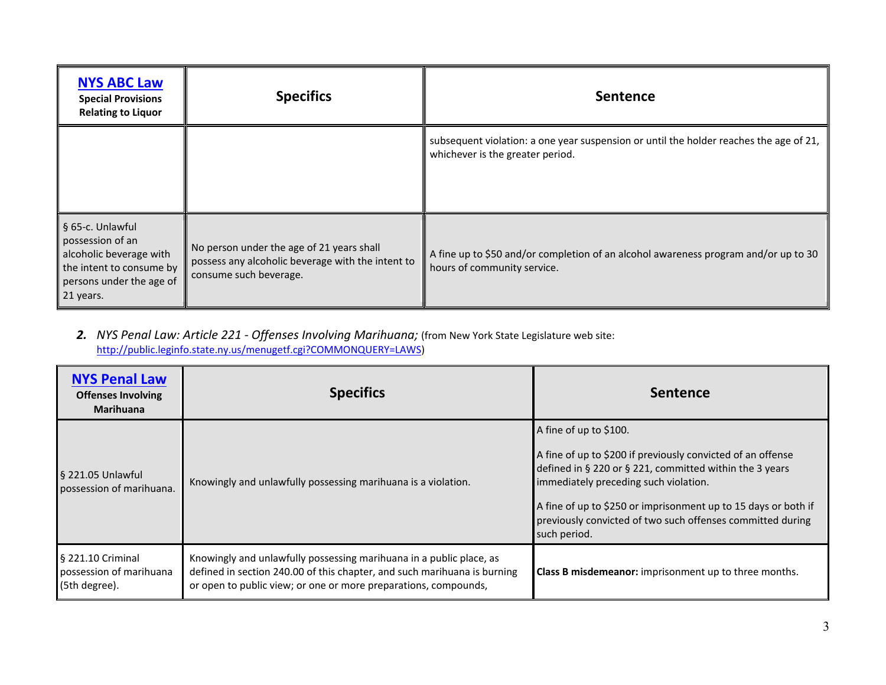| <b>NYS ABC Law</b><br><b>Special Provisions</b><br><b>Relating to Liquor</b>                                                         | <b>Specifics</b>                                                                                                         | <b>Sentence</b>                                                                                                            |
|--------------------------------------------------------------------------------------------------------------------------------------|--------------------------------------------------------------------------------------------------------------------------|----------------------------------------------------------------------------------------------------------------------------|
|                                                                                                                                      |                                                                                                                          | subsequent violation: a one year suspension or until the holder reaches the age of 21,<br>whichever is the greater period. |
| § 65-c. Unlawful<br>possession of an<br>alcoholic beverage with<br>the intent to consume by<br>persons under the age of<br>21 years. | No person under the age of 21 years shall<br>possess any alcoholic beverage with the intent to<br>consume such beverage. | A fine up to \$50 and/or completion of an alcohol awareness program and/or up to 30<br>hours of community service.         |

*2. NYS Penal Law: Article 221 - Offenses Involving Marihuana;* (from New York State Legislature web site: [http://public.leginfo.state.ny.us/menugetf.cgi?COMMONQUERY=LAWS\)](http://public.leginfo.state.ny.us/menugetf.cgi?COMMONQUERY=LAWS)

| <b>NYS Penal Law</b><br><b>Offenses Involving</b><br><b>Marihuana</b> | <b>Specifics</b>                                                                                                                                                                                                   | <b>Sentence</b>                                                                                                                                                                                                                                                                                                                           |
|-----------------------------------------------------------------------|--------------------------------------------------------------------------------------------------------------------------------------------------------------------------------------------------------------------|-------------------------------------------------------------------------------------------------------------------------------------------------------------------------------------------------------------------------------------------------------------------------------------------------------------------------------------------|
| § 221.05 Unlawful<br>possession of marihuana.                         | Knowingly and unlawfully possessing marihuana is a violation.                                                                                                                                                      | A fine of up to \$100.<br>A fine of up to \$200 if previously convicted of an offense<br>defined in § 220 or § 221, committed within the 3 years<br>immediately preceding such violation.<br>A fine of up to \$250 or imprisonment up to 15 days or both if<br>previously convicted of two such offenses committed during<br>such period. |
| § 221.10 Criminal<br>possession of marihuana<br>(5th degree).         | Knowingly and unlawfully possessing marihuana in a public place, as<br>defined in section 240.00 of this chapter, and such marihuana is burning<br>or open to public view; or one or more preparations, compounds, | <b>Class B misdemeanor:</b> imprisonment up to three months.                                                                                                                                                                                                                                                                              |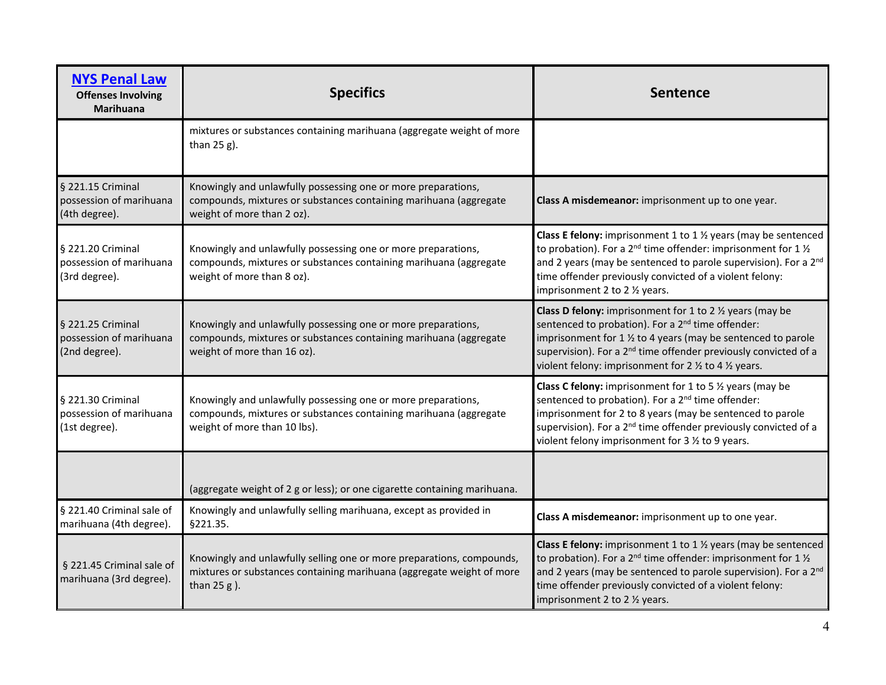| <b>NYS Penal Law</b><br><b>Offenses Involving</b><br><b>Marihuana</b> | <b>Specifics</b>                                                                                                                                                   | <b>Sentence</b>                                                                                                                                                                                                                                                                                                                                                         |
|-----------------------------------------------------------------------|--------------------------------------------------------------------------------------------------------------------------------------------------------------------|-------------------------------------------------------------------------------------------------------------------------------------------------------------------------------------------------------------------------------------------------------------------------------------------------------------------------------------------------------------------------|
|                                                                       | mixtures or substances containing marihuana (aggregate weight of more<br>than $25 g$ ).                                                                            |                                                                                                                                                                                                                                                                                                                                                                         |
| § 221.15 Criminal<br>possession of marihuana<br>(4th degree).         | Knowingly and unlawfully possessing one or more preparations,<br>compounds, mixtures or substances containing marihuana (aggregate<br>weight of more than 2 oz).   | Class A misdemeanor: imprisonment up to one year.                                                                                                                                                                                                                                                                                                                       |
| § 221.20 Criminal<br>possession of marihuana<br>(3rd degree).         | Knowingly and unlawfully possessing one or more preparations,<br>compounds, mixtures or substances containing marihuana (aggregate<br>weight of more than 8 oz).   | Class E felony: imprisonment 1 to 1 $\frac{1}{2}$ years (may be sentenced<br>to probation). For a 2 <sup>nd</sup> time offender: imprisonment for $1\%$<br>and 2 years (may be sentenced to parole supervision). For a 2 <sup>nd</sup><br>time offender previously convicted of a violent felony:<br>imprisonment 2 to 2 1/2 years.                                     |
| § 221.25 Criminal<br>possession of marihuana<br>(2nd degree).         | Knowingly and unlawfully possessing one or more preparations,<br>compounds, mixtures or substances containing marihuana (aggregate<br>weight of more than 16 oz).  | <b>Class D felony:</b> imprisonment for 1 to 2 $\frac{1}{2}$ years (may be<br>sentenced to probation). For a 2 <sup>nd</sup> time offender:<br>imprisonment for 1 % to 4 years (may be sentenced to parole<br>supervision). For a 2 <sup>nd</sup> time offender previously convicted of a<br>violent felony: imprisonment for 2 $\frac{1}{2}$ to 4 $\frac{1}{2}$ years. |
| § 221.30 Criminal<br>possession of marihuana<br>(1st degree).         | Knowingly and unlawfully possessing one or more preparations,<br>compounds, mixtures or substances containing marihuana (aggregate<br>weight of more than 10 lbs). | <b>Class C felony:</b> imprisonment for 1 to 5 $\frac{1}{2}$ years (may be<br>sentenced to probation). For a 2 <sup>nd</sup> time offender:<br>imprisonment for 2 to 8 years (may be sentenced to parole<br>supervision). For a 2 <sup>nd</sup> time offender previously convicted of a<br>violent felony imprisonment for 3 1/2 to 9 years.                            |
|                                                                       | (aggregate weight of 2 g or less); or one cigarette containing marihuana.                                                                                          |                                                                                                                                                                                                                                                                                                                                                                         |
| § 221.40 Criminal sale of<br>marihuana (4th degree).                  | Knowingly and unlawfully selling marihuana, except as provided in<br>§221.35.                                                                                      | Class A misdemeanor: imprisonment up to one year.                                                                                                                                                                                                                                                                                                                       |
| § 221.45 Criminal sale of<br>marihuana (3rd degree).                  | Knowingly and unlawfully selling one or more preparations, compounds,<br>mixtures or substances containing marihuana (aggregate weight of more<br>than $25 g$ ).   | Class E felony: imprisonment 1 to $1\frac{1}{2}$ years (may be sentenced<br>to probation). For a 2 <sup>nd</sup> time offender: imprisonment for 1 $\frac{1}{2}$<br>and 2 years (may be sentenced to parole supervision). For a 2 <sup>nd</sup><br>time offender previously convicted of a violent felony:<br>imprisonment 2 to 2 1/2 years.                            |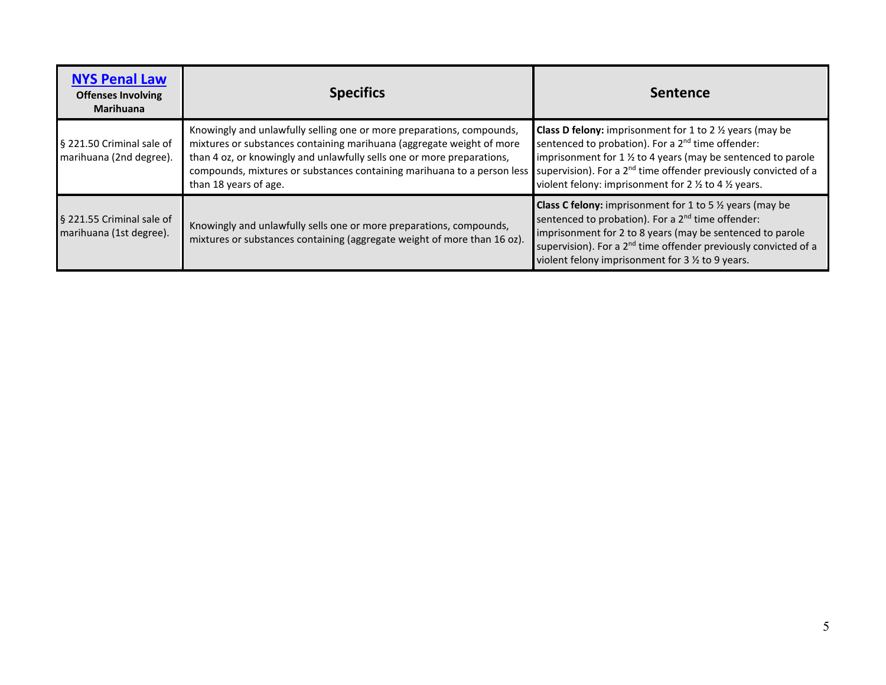| <b>NYS Penal Law</b><br><b>Offenses Involving</b><br><b>Marihuana</b> | <b>Specifics</b>                                                                                                                                                                                                                                                                                                             | <b>Sentence</b>                                                                                                                                                                                                                                                                                                                                            |
|-----------------------------------------------------------------------|------------------------------------------------------------------------------------------------------------------------------------------------------------------------------------------------------------------------------------------------------------------------------------------------------------------------------|------------------------------------------------------------------------------------------------------------------------------------------------------------------------------------------------------------------------------------------------------------------------------------------------------------------------------------------------------------|
| § 221.50 Criminal sale of<br>marihuana (2nd degree).                  | Knowingly and unlawfully selling one or more preparations, compounds,<br>mixtures or substances containing marihuana (aggregate weight of more<br>than 4 oz, or knowingly and unlawfully sells one or more preparations,<br>compounds, mixtures or substances containing marihuana to a person less<br>than 18 years of age. | <b>Class D felony:</b> imprisonment for 1 to 2 $\frac{1}{2}$ years (may be<br>sentenced to probation). For a 2 <sup>nd</sup> time offender:<br>imprisonment for 1 % to 4 years (may be sentenced to parole<br>supervision). For a 2 <sup>nd</sup> time offender previously convicted of a<br>violent felony: imprisonment for 2 1/2 to 4 1/2 years.        |
| § 221.55 Criminal sale of<br>marihuana (1st degree).                  | Knowingly and unlawfully sells one or more preparations, compounds,<br>mixtures or substances containing (aggregate weight of more than 16 oz).                                                                                                                                                                              | <b>Class C felony:</b> imprisonment for 1 to 5 <sup>1</sup> / <sub>2</sub> years (may be<br>sentenced to probation). For a 2 <sup>nd</sup> time offender:<br>imprisonment for 2 to 8 years (may be sentenced to parole<br>supervision). For a 2 <sup>nd</sup> time offender previously convicted of a<br>violent felony imprisonment for 3 1/2 to 9 years. |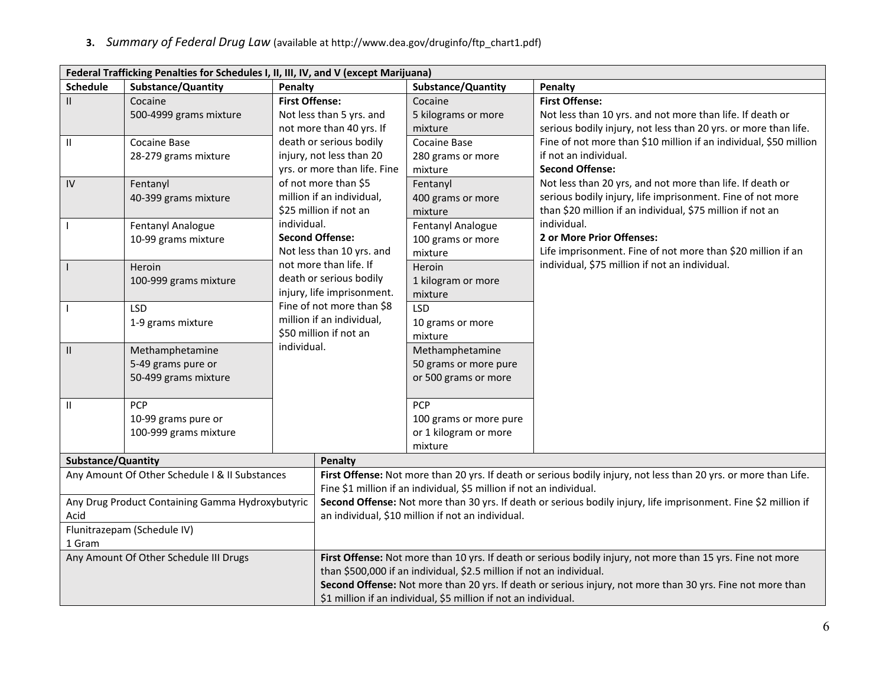**3.** *Summary of Federal Drug Law* (available at [http://www.dea.gov/druginfo/ftp\\_chart1.pdf\)](http://www.dea.gov/druginfo/ftp_chart1.pdf)

| Federal Trafficking Penalties for Schedules I, II, III, IV, and V (except Marijuana) |                                                |                                                         |                                                                                                                 |                                                                                                                  |  |
|--------------------------------------------------------------------------------------|------------------------------------------------|---------------------------------------------------------|-----------------------------------------------------------------------------------------------------------------|------------------------------------------------------------------------------------------------------------------|--|
| <b>Schedule</b>                                                                      | <b>Substance/Quantity</b>                      | Penalty                                                 | <b>Substance/Quantity</b>                                                                                       | Penalty                                                                                                          |  |
| $\mathbf{II}$                                                                        | Cocaine                                        | <b>First Offense:</b>                                   | Cocaine                                                                                                         | <b>First Offense:</b>                                                                                            |  |
|                                                                                      | 500-4999 grams mixture                         | Not less than 5 yrs. and                                | 5 kilograms or more                                                                                             | Not less than 10 yrs. and not more than life. If death or                                                        |  |
|                                                                                      |                                                | not more than 40 yrs. If                                | mixture                                                                                                         | serious bodily injury, not less than 20 yrs. or more than life.                                                  |  |
| Ш                                                                                    | <b>Cocaine Base</b>                            | death or serious bodily                                 | <b>Cocaine Base</b>                                                                                             | Fine of not more than \$10 million if an individual, \$50 million                                                |  |
|                                                                                      | 28-279 grams mixture                           | injury, not less than 20                                | 280 grams or more                                                                                               | if not an individual.                                                                                            |  |
|                                                                                      |                                                | yrs. or more than life. Fine                            | mixture                                                                                                         | <b>Second Offense:</b>                                                                                           |  |
| IV                                                                                   | Fentanyl                                       | of not more than \$5                                    | Fentanyl                                                                                                        | Not less than 20 yrs, and not more than life. If death or                                                        |  |
|                                                                                      | 40-399 grams mixture                           | million if an individual,                               | 400 grams or more                                                                                               | serious bodily injury, life imprisonment. Fine of not more                                                       |  |
|                                                                                      |                                                | \$25 million if not an                                  | mixture                                                                                                         | than \$20 million if an individual, \$75 million if not an                                                       |  |
|                                                                                      | Fentanyl Analogue                              | individual.                                             | Fentanyl Analogue                                                                                               | individual.                                                                                                      |  |
|                                                                                      | 10-99 grams mixture                            | <b>Second Offense:</b>                                  | 100 grams or more                                                                                               | 2 or More Prior Offenses:                                                                                        |  |
|                                                                                      |                                                | Not less than 10 yrs. and                               | mixture                                                                                                         | Life imprisonment. Fine of not more than \$20 million if an                                                      |  |
|                                                                                      | Heroin                                         | not more than life. If                                  | Heroin                                                                                                          | individual, \$75 million if not an individual.                                                                   |  |
|                                                                                      | 100-999 grams mixture                          | death or serious bodily                                 | 1 kilogram or more                                                                                              |                                                                                                                  |  |
|                                                                                      |                                                | injury, life imprisonment.<br>Fine of not more than \$8 | mixture                                                                                                         |                                                                                                                  |  |
|                                                                                      | <b>LSD</b>                                     | million if an individual,                               | <b>LSD</b>                                                                                                      |                                                                                                                  |  |
|                                                                                      | 1-9 grams mixture                              | \$50 million if not an                                  | 10 grams or more                                                                                                |                                                                                                                  |  |
|                                                                                      |                                                | individual.                                             | mixture                                                                                                         |                                                                                                                  |  |
| Ш                                                                                    | Methamphetamine                                |                                                         | Methamphetamine                                                                                                 |                                                                                                                  |  |
|                                                                                      | 5-49 grams pure or                             |                                                         | 50 grams or more pure                                                                                           |                                                                                                                  |  |
|                                                                                      | 50-499 grams mixture                           |                                                         | or 500 grams or more                                                                                            |                                                                                                                  |  |
| Ш                                                                                    | PCP                                            |                                                         | <b>PCP</b>                                                                                                      |                                                                                                                  |  |
|                                                                                      | 10-99 grams pure or                            |                                                         | 100 grams or more pure                                                                                          |                                                                                                                  |  |
|                                                                                      | 100-999 grams mixture                          |                                                         | or 1 kilogram or more                                                                                           |                                                                                                                  |  |
|                                                                                      |                                                |                                                         | mixture                                                                                                         |                                                                                                                  |  |
| Substance/Quantity                                                                   |                                                | <b>Penalty</b>                                          |                                                                                                                 |                                                                                                                  |  |
|                                                                                      | Any Amount Of Other Schedule I & II Substances |                                                         |                                                                                                                 | First Offense: Not more than 20 yrs. If death or serious bodily injury, not less than 20 yrs. or more than Life. |  |
|                                                                                      |                                                |                                                         | Fine \$1 million if an individual, \$5 million if not an individual.                                            |                                                                                                                  |  |
| Any Drug Product Containing Gamma Hydroxybutyric                                     |                                                |                                                         | Second Offense: Not more than 30 yrs. If death or serious bodily injury, life imprisonment. Fine \$2 million if |                                                                                                                  |  |
| Acid                                                                                 |                                                |                                                         | an individual, \$10 million if not an individual.                                                               |                                                                                                                  |  |
| Flunitrazepam (Schedule IV)                                                          |                                                |                                                         |                                                                                                                 |                                                                                                                  |  |
| 1 Gram                                                                               |                                                |                                                         |                                                                                                                 |                                                                                                                  |  |
|                                                                                      | Any Amount Of Other Schedule III Drugs         |                                                         |                                                                                                                 | First Offense: Not more than 10 yrs. If death or serious bodily injury, not more than 15 yrs. Fine not more      |  |
|                                                                                      |                                                |                                                         | than \$500,000 if an individual, \$2.5 million if not an individual.                                            |                                                                                                                  |  |
|                                                                                      |                                                |                                                         |                                                                                                                 | Second Offense: Not more than 20 yrs. If death or serious injury, not more than 30 yrs. Fine not more than       |  |
|                                                                                      |                                                |                                                         | \$1 million if an individual, \$5 million if not an individual.                                                 |                                                                                                                  |  |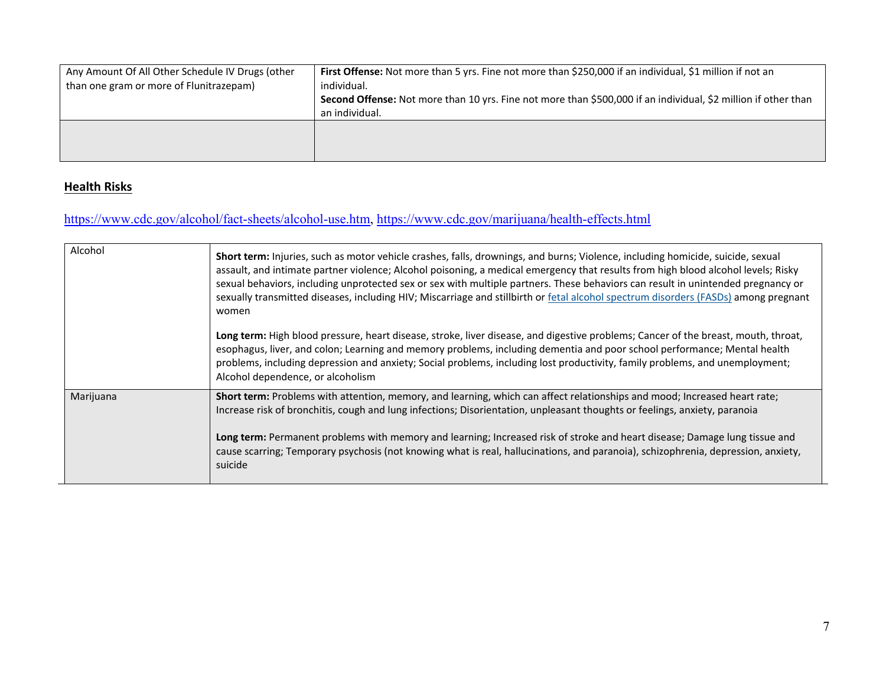| Any Amount Of All Other Schedule IV Drugs (other | First Offense: Not more than 5 yrs. Fine not more than \$250,000 if an individual, \$1 million if not an       |
|--------------------------------------------------|----------------------------------------------------------------------------------------------------------------|
| than one gram or more of Flunitrazepam)          | individual.                                                                                                    |
|                                                  | Second Offense: Not more than 10 yrs. Fine not more than \$500,000 if an individual, \$2 million if other than |
|                                                  | an individual.                                                                                                 |
|                                                  |                                                                                                                |
|                                                  |                                                                                                                |
|                                                  |                                                                                                                |

## **Health Risks**

# [https://www.cdc.gov/alcohol/fact-sheets/alcohol-use.htm,](https://www.cdc.gov/alcohol/fact-sheets/alcohol-use.htm)<https://www.cdc.gov/marijuana/health-effects.html>

| Alcohol   | Short term: Injuries, such as motor vehicle crashes, falls, drownings, and burns; Violence, including homicide, suicide, sexual<br>assault, and intimate partner violence; Alcohol poisoning, a medical emergency that results from high blood alcohol levels; Risky<br>sexual behaviors, including unprotected sex or sex with multiple partners. These behaviors can result in unintended pregnancy or<br>sexually transmitted diseases, including HIV; Miscarriage and stillbirth or fetal alcohol spectrum disorders (FASDs) among pregnant<br>women |
|-----------|----------------------------------------------------------------------------------------------------------------------------------------------------------------------------------------------------------------------------------------------------------------------------------------------------------------------------------------------------------------------------------------------------------------------------------------------------------------------------------------------------------------------------------------------------------|
|           | Long term: High blood pressure, heart disease, stroke, liver disease, and digestive problems; Cancer of the breast, mouth, throat,<br>esophagus, liver, and colon; Learning and memory problems, including dementia and poor school performance; Mental health<br>problems, including depression and anxiety; Social problems, including lost productivity, family problems, and unemployment;<br>Alcohol dependence, or alcoholism                                                                                                                      |
| Marijuana | Short term: Problems with attention, memory, and learning, which can affect relationships and mood; Increased heart rate;<br>Increase risk of bronchitis, cough and lung infections; Disorientation, unpleasant thoughts or feelings, anxiety, paranoia<br>Long term: Permanent problems with memory and learning; Increased risk of stroke and heart disease; Damage lung tissue and<br>cause scarring; Temporary psychosis (not knowing what is real, hallucinations, and paranoia), schizophrenia, depression, anxiety,<br>suicide                    |